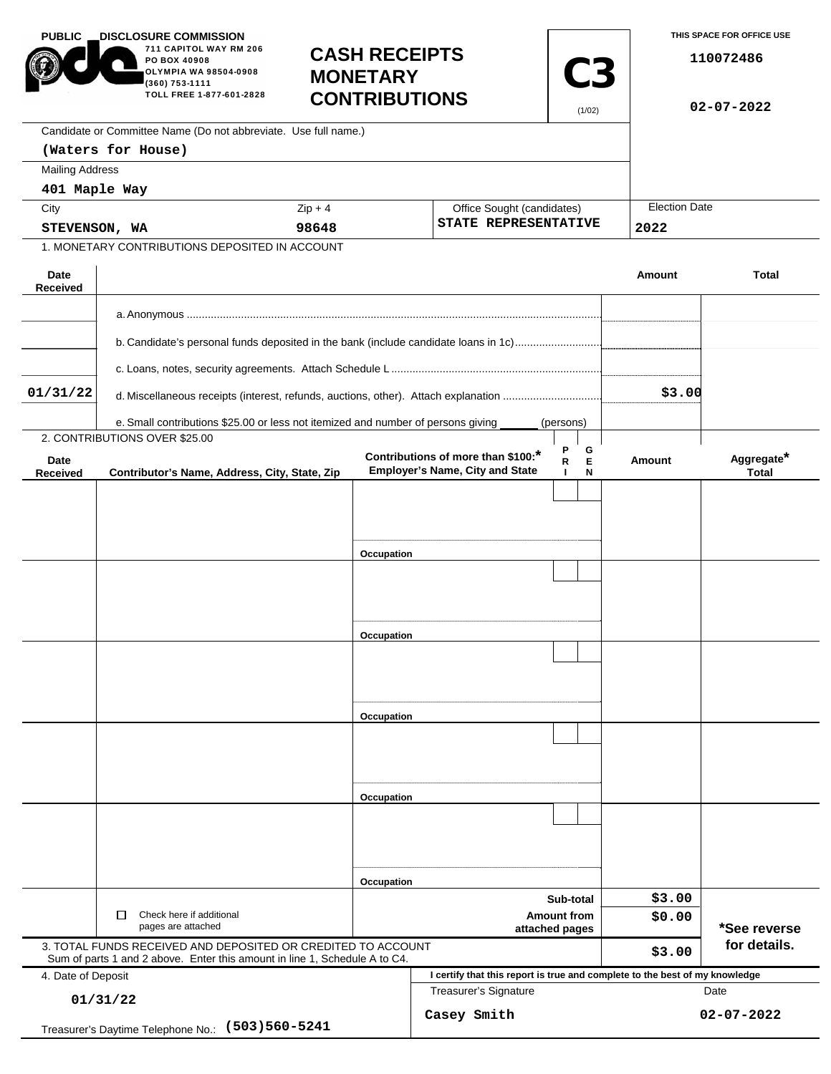| <b>PUBLIC</b>                                                   | <b>DISCLOSURE COMMISSION</b><br>711 CAPITOL WAY RM 206<br>PO BOX 40908<br>OLYMPIA WA 98504-0908<br><b>MONETARY</b><br>(360) 753-1111<br>TOLL FREE 1-877-601-2828 |            | <b>CASH RECEIPTS</b><br><b>C3</b><br><b>CONTRIBUTIONS</b><br>(1/02)          |                                                    | THIS SPACE FOR OFFICE USE<br>110072486<br>$02 - 07 - 2022$ |                              |  |
|-----------------------------------------------------------------|------------------------------------------------------------------------------------------------------------------------------------------------------------------|------------|------------------------------------------------------------------------------|----------------------------------------------------|------------------------------------------------------------|------------------------------|--|
|                                                                 | Candidate or Committee Name (Do not abbreviate. Use full name.)                                                                                                  |            |                                                                              |                                                    |                                                            |                              |  |
|                                                                 | (Waters for House)                                                                                                                                               |            |                                                                              |                                                    |                                                            |                              |  |
| <b>Mailing Address</b>                                          |                                                                                                                                                                  |            |                                                                              |                                                    |                                                            |                              |  |
| 401 Maple Way                                                   |                                                                                                                                                                  |            |                                                                              |                                                    |                                                            |                              |  |
| City                                                            |                                                                                                                                                                  | $Zip + 4$  |                                                                              | Office Sought (candidates)<br>STATE REPRESENTATIVE |                                                            | <b>Election Date</b><br>2022 |  |
| STEVENSON, WA<br>1. MONETARY CONTRIBUTIONS DEPOSITED IN ACCOUNT |                                                                                                                                                                  | 98648      |                                                                              |                                                    |                                                            |                              |  |
|                                                                 |                                                                                                                                                                  |            |                                                                              |                                                    |                                                            |                              |  |
| Date<br>Received                                                |                                                                                                                                                                  |            |                                                                              |                                                    | Amount                                                     | <b>Total</b>                 |  |
|                                                                 |                                                                                                                                                                  |            |                                                                              |                                                    |                                                            |                              |  |
|                                                                 | b. Candidate's personal funds deposited in the bank (include candidate loans in 1c)                                                                              |            |                                                                              |                                                    |                                                            |                              |  |
|                                                                 |                                                                                                                                                                  |            |                                                                              |                                                    |                                                            |                              |  |
|                                                                 |                                                                                                                                                                  |            |                                                                              |                                                    |                                                            |                              |  |
| 01/31/22                                                        | d. Miscellaneous receipts (interest, refunds, auctions, other). Attach explanation                                                                               |            | \$3.00                                                                       |                                                    |                                                            |                              |  |
|                                                                 | e. Small contributions \$25.00 or less not itemized and number of persons giving                                                                                 |            |                                                                              | (persons)                                          |                                                            |                              |  |
|                                                                 | 2. CONTRIBUTIONS OVER \$25.00                                                                                                                                    |            |                                                                              |                                                    |                                                            |                              |  |
| Date<br>Received                                                | Contributor's Name, Address, City, State, Zip                                                                                                                    |            | Contributions of more than \$100:*<br><b>Employer's Name, City and State</b> | Ρ<br>G<br>E<br>R<br>N<br>$\mathbf{I}$              | Amount                                                     | Aggregate*<br><b>Total</b>   |  |
|                                                                 |                                                                                                                                                                  |            |                                                                              |                                                    |                                                            |                              |  |
|                                                                 |                                                                                                                                                                  |            |                                                                              |                                                    |                                                            |                              |  |
|                                                                 |                                                                                                                                                                  |            |                                                                              |                                                    |                                                            |                              |  |
|                                                                 |                                                                                                                                                                  | Occupation |                                                                              |                                                    |                                                            |                              |  |
|                                                                 |                                                                                                                                                                  |            |                                                                              |                                                    |                                                            |                              |  |
|                                                                 |                                                                                                                                                                  |            |                                                                              |                                                    |                                                            |                              |  |
|                                                                 |                                                                                                                                                                  |            |                                                                              |                                                    |                                                            |                              |  |
|                                                                 |                                                                                                                                                                  | Occupation |                                                                              |                                                    |                                                            |                              |  |
|                                                                 |                                                                                                                                                                  |            |                                                                              |                                                    |                                                            |                              |  |
|                                                                 |                                                                                                                                                                  |            |                                                                              |                                                    |                                                            |                              |  |
|                                                                 |                                                                                                                                                                  |            |                                                                              |                                                    |                                                            |                              |  |
|                                                                 |                                                                                                                                                                  | Occupation |                                                                              |                                                    |                                                            |                              |  |
|                                                                 |                                                                                                                                                                  |            |                                                                              |                                                    |                                                            |                              |  |
|                                                                 |                                                                                                                                                                  |            |                                                                              |                                                    |                                                            |                              |  |
|                                                                 |                                                                                                                                                                  |            |                                                                              |                                                    |                                                            |                              |  |
|                                                                 |                                                                                                                                                                  | Occupation |                                                                              |                                                    |                                                            |                              |  |
|                                                                 |                                                                                                                                                                  |            |                                                                              |                                                    |                                                            |                              |  |
|                                                                 |                                                                                                                                                                  |            |                                                                              |                                                    |                                                            |                              |  |
|                                                                 |                                                                                                                                                                  |            |                                                                              |                                                    |                                                            |                              |  |
|                                                                 |                                                                                                                                                                  | Occupation |                                                                              |                                                    |                                                            |                              |  |
|                                                                 | □<br>Check here if additional                                                                                                                                    |            | Sub-total<br><b>Amount from</b>                                              |                                                    | \$3.00<br>\$0.00                                           |                              |  |
| pages are attached                                              |                                                                                                                                                                  |            | attached pages                                                               |                                                    |                                                            | *See reverse                 |  |
|                                                                 | 3. TOTAL FUNDS RECEIVED AND DEPOSITED OR CREDITED TO ACCOUNT<br>Sum of parts 1 and 2 above. Enter this amount in line 1, Schedule A to C4.                       |            |                                                                              |                                                    | \$3.00                                                     | for details.                 |  |
| 4. Date of Deposit                                              |                                                                                                                                                                  |            | I certify that this report is true and complete to the best of my knowledge  |                                                    |                                                            |                              |  |
| 01/31/22                                                        |                                                                                                                                                                  |            | <b>Treasurer's Signature</b>                                                 |                                                    |                                                            | Date                         |  |
| Treasurer's Daytime Telephone No.: (503) 560-5241               |                                                                                                                                                                  |            | Casey Smith                                                                  |                                                    |                                                            | 02-07-2022                   |  |